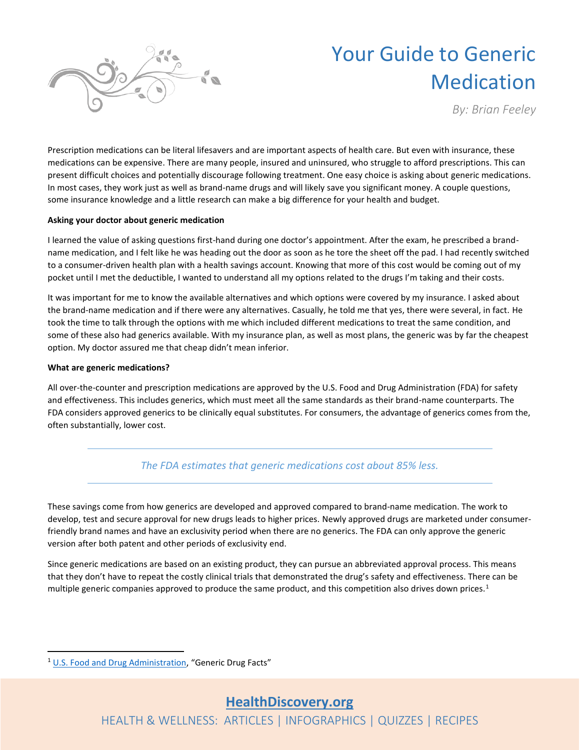

# Your Guide to Generic Medication

*By: Brian Feeley*

Prescription medications can be literal lifesavers and are important aspects of health care. But even with insurance, these medications can be expensive. There are many people, insured and uninsured, who struggle to afford prescriptions. This can present difficult choices and potentially discourage following treatment. One easy choice is asking about generic medications. In most cases, they work just as well as brand-name drugs and will likely save you significant money. A couple questions, some insurance knowledge and a little research can make a big difference for your health and budget.

## **Asking your doctor about generic medication**

I learned the value of asking questions first-hand during one doctor's appointment. After the exam, he prescribed a brandname medication, and I felt like he was heading out the door as soon as he tore the sheet off the pad. I had recently switched to a consumer-driven health plan with a health savings account. Knowing that more of this cost would be coming out of my pocket until I met the deductible, I wanted to understand all my options related to the drugs I'm taking and their costs.

It was important for me to know the available alternatives and which options were covered by my insurance. I asked about the brand-name medication and if there were any alternatives. Casually, he told me that yes, there were several, in fact. He took the time to talk through the options with me which included different medications to treat the same condition, and some of these also had generics available. With my insurance plan, as well as most plans, the generic was by far the cheapest option. My doctor assured me that cheap didn't mean inferior.

## **What are generic medications?**

All over-the-counter and prescription medications are approved by the U.S. Food and Drug Administration (FDA) for safety and effectiveness. This includes generics, which must meet all the same standards as their brand-name counterparts. The FDA considers approved generics to be clinically equal substitutes. For consumers, the advantage of generics comes from the, often substantially, lower cost.

## *The FDA estimates that generic medications cost about 85% less.*

These savings come from how generics are developed and approved compared to brand-name medication. The work to develop, test and secure approval for new drugs leads to higher prices. Newly approved drugs are marketed under consumerfriendly brand names and have an exclusivity period when there are no generics. The FDA can only approve the generic version after both patent and other periods of exclusivity end.

Since generic medications are based on an existing product, they can pursue an abbreviated approval process. This means that they don't have to repeat the costly clinical trials that demonstrated the drug's safety and effectiveness. There can be multiple generic companies approved to produce the same product, and this competition also drives down prices.<sup>1</sup>

HEALTH & WELLNESS: ARTICLES | INFOGRAPHICS | QUIZZES | RECIPES

<sup>1</sup> [U.S. Food and Drug Administration](https://www.fda.gov/drugs/generic-drugs/generic-drug-facts), "Generic Drug Facts"